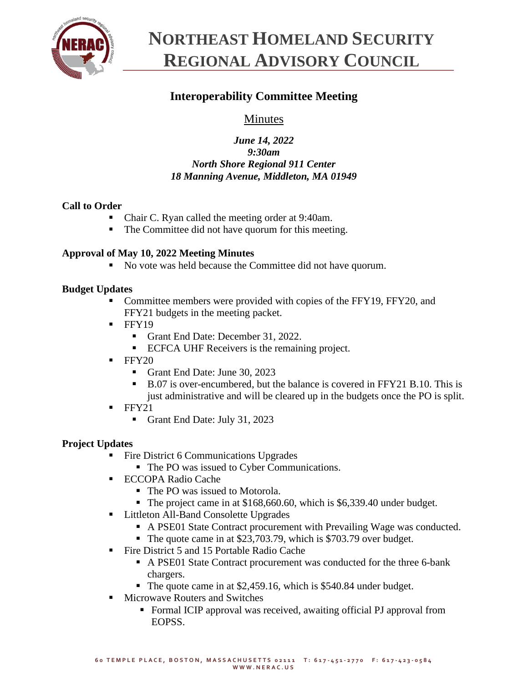

# **NORTHEAST HOMELAND SECURITY REGIONAL ADVISORY COUNCIL**

# **Interoperability Committee Meeting**

## Minutes

## *June 14, 2022 9:30am North Shore Regional 911 Center 18 Manning Avenue, Middleton, MA 01949*

## **Call to Order**

- Chair C. Ryan called the meeting order at 9:40am.
- The Committee did not have quorum for this meeting.

## **Approval of May 10, 2022 Meeting Minutes**

■ No vote was held because the Committee did not have quorum.

## **Budget Updates**

- Committee members were provided with copies of the FFY19, FFY20, and FFY21 budgets in the meeting packet.
- $\blacksquare$  FFY19
	- Grant End Date: December 31, 2022.
	- ECFCA UHF Receivers is the remaining project.
- $\blacksquare$  FFY20
	- Grant End Date: June 30, 2023
	- B.07 is over-encumbered, but the balance is covered in FFY21 B.10. This is just administrative and will be cleared up in the budgets once the PO is split.
- FFY21
	- Grant End Date: July 31, 2023

## **Project Updates**

- Fire District 6 Communications Upgrades
	- The PO was issued to Cyber Communications.
- ECCOPA Radio Cache
	- The PO was issued to Motorola.
	- The project came in at \$168,660.60, which is \$6,339.40 under budget.
- Littleton All-Band Consolette Upgrades
	- A PSE01 State Contract procurement with Prevailing Wage was conducted.
	- The quote came in at \$23,703.79, which is \$703.79 over budget.
- Fire District 5 and 15 Portable Radio Cache
	- A PSE01 State Contract procurement was conducted for the three 6-bank chargers.
	- The quote came in at \$2,459.16, which is \$540.84 under budget.
- Microwave Routers and Switches
	- Formal ICIP approval was received, awaiting official PJ approval from EOPSS.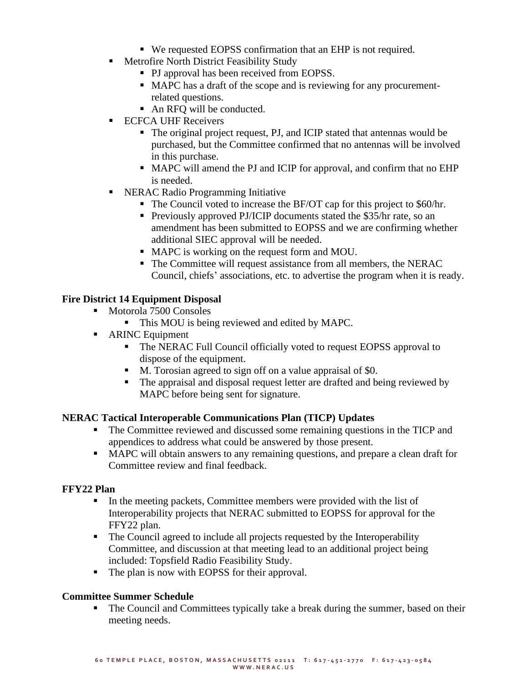- We requested EOPSS confirmation that an EHP is not required.
- Metrofire North District Feasibility Study
	- PJ approval has been received from EOPSS.
	- MAPC has a draft of the scope and is reviewing for any procurementrelated questions.
	- An RFQ will be conducted.
- **ECFCA UHF Receivers** 
	- The original project request, PJ, and ICIP stated that antennas would be purchased, but the Committee confirmed that no antennas will be involved in this purchase.
	- MAPC will amend the PJ and ICIP for approval, and confirm that no EHP is needed.
- NERAC Radio Programming Initiative
	- The Council voted to increase the BF/OT cap for this project to \$60/hr.
	- **Previously approved PJ/ICIP documents stated the \$35/hr rate, so an** amendment has been submitted to EOPSS and we are confirming whether additional SIEC approval will be needed.
	- MAPC is working on the request form and MOU.
	- The Committee will request assistance from all members, the NERAC Council, chiefs' associations, etc. to advertise the program when it is ready.

#### **Fire District 14 Equipment Disposal**

- Motorola 7500 Consoles
	- This MOU is being reviewed and edited by MAPC.
- ARINC Equipment
	- The NERAC Full Council officially voted to request EOPSS approval to dispose of the equipment.
	- M. Torosian agreed to sign off on a value appraisal of \$0.
	- The appraisal and disposal request letter are drafted and being reviewed by MAPC before being sent for signature.

#### **NERAC Tactical Interoperable Communications Plan (TICP) Updates**

- The Committee reviewed and discussed some remaining questions in the TICP and appendices to address what could be answered by those present.
- MAPC will obtain answers to any remaining questions, and prepare a clean draft for Committee review and final feedback.

#### **FFY22 Plan**

- In the meeting packets, Committee members were provided with the list of Interoperability projects that NERAC submitted to EOPSS for approval for the FFY22 plan.
- The Council agreed to include all projects requested by the Interoperability Committee, and discussion at that meeting lead to an additional project being included: Topsfield Radio Feasibility Study.
- The plan is now with EOPSS for their approval.

#### **Committee Summer Schedule**

The Council and Committees typically take a break during the summer, based on their meeting needs.